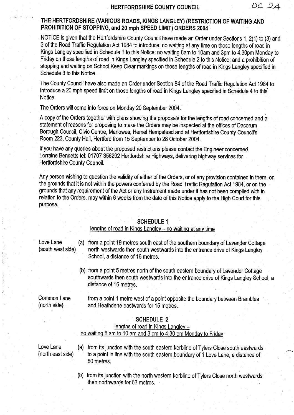#### HERTFORDSHIRE COUNTY COUNCIL

®c .2.4

THE HERTFORDSHIRE (VARIOUS ROADS, KINGS LANGLEY) (RESTRICTION OF WAITING AND PROHIBITION OF STOPPING, and 20 mph SPEED LIMIT) ORDERS 2004

NOTICE is given that the Hertfordshire County Council have made an Order under Sections 1, 2(1) to (3) and 3 of the Road Traffic Regulation Act 1984 to introduce: no waiting at any time on those lengths of road in Kings Langley specified in Schedule 1 to this Notice; no waiting 8am to 10am and 3pm to 4:30pm Monday to Friday on those lengths of road in Kings Lahgley specified in Schedule <sup>2</sup> to this Notice; and a prohibition of stopping and waiting on School Keep Clear markings on those lengths of road in Kings Langley specified in Schedule 3 to this Notice.

The County Council have also made an Order under Section 84 of the Road Traffic Regulation Act 1984 to introduce a 20 mph speed limit on those lengths of road in Kings Langley specified in Schedule 4 to this Notice.

The Orders will come into force on Monday 20 September 2004.

A copy of the Orders together with plans showing the proposals for the lengths of road concerned and <sup>a</sup> statement of reasons for proposing to make the Orders may be inspected at the offices of Dacorum Borough Council, Civic Centre, Marlowes, Hemel Hempstead and at Hertfordshire County Council's Room 223, County Hall, Hertford from 15 September to 28 October 2004.

If you have any queries about the proposed restrictions please contact the Engineer concerned Lorraine Bennetts tel: 01707 356292 Hertfordshire Highways, delivering highway services for Hertfordshire County Council.

Any person wishing to question the validity of either of the Orders, or of any provision contained in them, on the grounds that it is not within the powers conferred by the Road Traffic Regulation Act 1984, or on the grounds that any requirement of the Act or any Instrument made under it has not been complied with in relation to the Orders, may within 6 weeks from the date of this Notice apply to the High Court for this purpose.

#### SCHEDULE <sup>1</sup>

#### lengths of road in Kings Langley - no waiting at any time

Love Lane (a) from a point 19 metres south east of the southern boundary of Lavender Cottage<br>(south west side) (south westwards then south westwards into the entrance drive of Kings Langley north westwards then south westwards into the entrance drive of Kings Langley School, a distance of 16 metres.

> (b) from a point 5 metres north of the south eastern boundary of Lavender Cottage southwards then south westwards into the entrance drive of Kings Langley School, a distance of 16 metres.

Common Lane from a point 1 metre west of a point opposite the boundary between Brambles<br>(north side) and Heathdene eastwards for 15 metres. and Heathdene eastwards for 15 metres.

## SCHEDULE 2

## lengths of road in Kings Langley  $$ no waiting 8 am to 10 am and 3 pm to 4:30 pm Monday to Friday

- Love Lane (a) from its junction with the south eastern kerbline of Tylers Close south eastwards<br>(north east side) to a point in line with the south eastern boundary of 1 Love Lane a distance of to a point in line with the south eastern boundary of 1 Love Lane, a distance of 80 metres.
	- (b) from its junction with the north western kerbline of Tylers Close north westwards then northwards for 63 metres .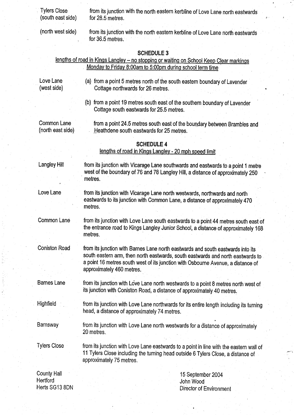| <b>Tylers Close</b><br>(south east side)         | from its junction with the north eastern kerbline of Love Lane north eastwards<br>for 28.5 metres.                                                                                                                                                                                  |
|--------------------------------------------------|-------------------------------------------------------------------------------------------------------------------------------------------------------------------------------------------------------------------------------------------------------------------------------------|
| (north west side)                                | from its junction with the north eastern kerbline of Love Lane north eastwards<br>for 36.5 metres.                                                                                                                                                                                  |
|                                                  | <b>SCHEDULE 3</b><br>lengths of road in Kings Langley - no stopping or waiting on School Keep Clear markings<br>Monday to Friday 8:00am to 5:00pm during school term time                                                                                                           |
| Love Lane<br>(west side)                         | (a) from a point 5 metres north of the south eastern boundary of Lavender<br>Cottage northwards for 26 metres.                                                                                                                                                                      |
|                                                  | (b) from a point 19 metres south east of the southern boundary of Lavender<br>Cottage south eastwards for 25.5 metres.                                                                                                                                                              |
| Common Lane<br>(north east side)                 | from a point 24.5 metres south east of the boundary between Brambles and<br>Heathdene south eastwards for 25 metres.                                                                                                                                                                |
|                                                  | <b>SCHEDULE 4</b><br>lengths of road in Kings Langley - 20 mph speed limit                                                                                                                                                                                                          |
| <b>Langley Hill</b>                              | from its junction with Vicarage Lane southwards and eastwards to a point 1 metre<br>west of the boundary of 76 and 78 Langley Hill, a distance of approximately 250<br>metres.                                                                                                      |
| Love Lane                                        | from its junction with Vicarage Lane north westwards, northwards and north<br>eastwards to its junction with Common Lane, a distance of approximately 470<br>metres.                                                                                                                |
| <b>Common Lane</b>                               | from its junction with Love Lane south eastwards to a point 44 metres south east of<br>the entrance road to Kings Langley Junior School, a distance of approximately 168<br>metres.                                                                                                 |
| <b>Coniston Road</b>                             | from its junction with Barnes Lane north eastwards and south eastwards into its<br>south eastern arm, then north eastwards, south eastwards and north eastwards to<br>a point 16 metres south west of its junction with Osbourne Avenue, a distance of<br>approximately 460 metres. |
| <b>Barnes Lane</b>                               | from its junction with Love Lane north westwards to a point 8 metres north west of<br>its junction with Coniston Road, a distance of approximately 40 metres.                                                                                                                       |
| Highfield                                        | from its junction with Love Lane northwards for its entire length including its turning<br>head, a distance of approximately 74 metres.                                                                                                                                             |
| Barnsway                                         | from its junction with Love Lane north westwards for a distance of approximately<br>20 metres.                                                                                                                                                                                      |
| <b>Tylers Close</b>                              | from its junction with Love Lane eastwards to a point in line with the eastern wall of<br>11 Tylers Close including the turning head outside 6 Tylers Close, a distance of<br>approximately 75 metres.                                                                              |
| <b>County Hall</b><br>Hertford<br>Herts SG13 8DN | 15 September 2004<br>John Wood<br>Director of Environment                                                                                                                                                                                                                           |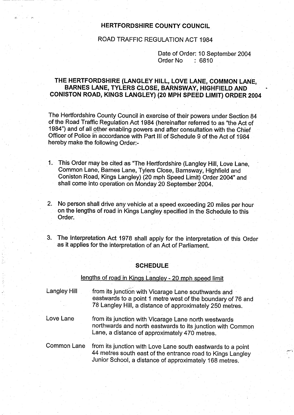## HERTFORDSHIRE COUNTY COUNCIL

# ROAD TRAFFIC REGULATION ACT 1984

Date of Order: 10 September 2004<br>Order No : 6810 Order No

# THE HERTFORDSHIRE (LANGLEY HILL, LOVE LANE, COMMON LANE, BARNES LANE, TYLERS CLOSE, BARNSWAY, HIGHFIELD AND CONISTON ROAD, KINGS LANGLEY) (20 MPH SPEED LIMIT) ORDER 2004

The Hertfordshire County Council in exercise of their powers under Section 84 of the Road Traffic Regulation Act 1984 (hereinafter referred to as "the Act of 1984") and of all other enabling powers and after consultation with the Chief Officer of Police in accordance with Part III of Schedule 9 of the Act of 1984 hereby make the following Order:-

- <sup>1</sup> . This Order may be cited as "The Hertfordshire (Langley Hill, Love Lane, Common Lane, Barnes Lane, Tylers Close, Barnsway, Highfield and Coniston Road, Kings Langley) (20 mph Speed Limit) Order 2004" and shall come into operation on Monday 20 September 2004 .
- 2. No person shall drive any vehicle at a speed exceeding 20 miles per hour on the lengths of road in Kings Langley specified in the Schedule to this Order:
- 3. The Interpretation Act 1978 shall apply for the interpretation of this Order as it applies for the interpretation of an Act of Parliament.

#### **SCHEDULE**

# lengths of road in Kings Langley - 20 mph speed limit Langley Hill from its junction with Vicarage Lane southwards and eastwards to a point <sup>1</sup> metre west of the boundary of 76 and 78 Langley Hill, a distance of approximately 250 metres. Love Lane from its junction with Vicarage Lane north westwards northwards and north eastwards to its junction with Common Lane, a distance of approximately 470 metres. Common Lane from its junction with Love Lane south eastwards to <sup>a</sup> point 44 metres south east of the entrance road to Kings Langley Junior School, a distance of approximately, 168 metres.